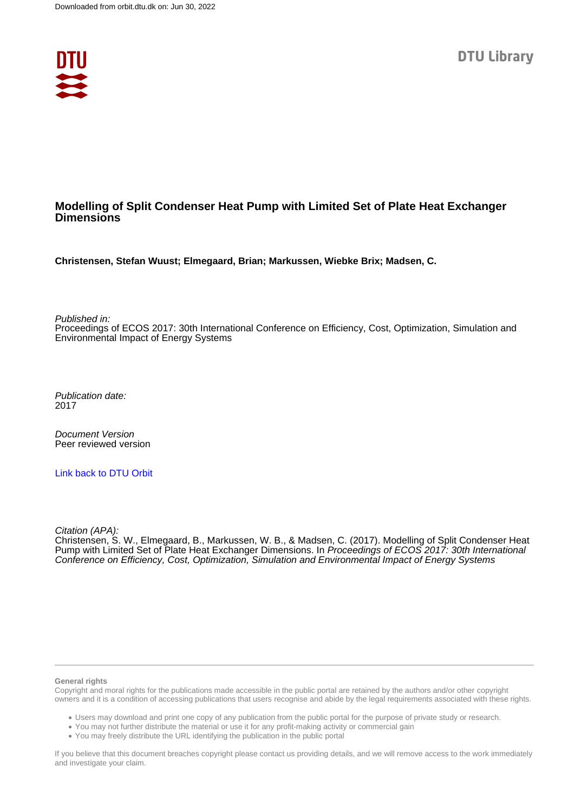

#### **Modelling of Split Condenser Heat Pump with Limited Set of Plate Heat Exchanger Dimensions**

**Christensen, Stefan Wuust; Elmegaard, Brian; Markussen, Wiebke Brix; Madsen, C.**

Published in:

Proceedings of ECOS 2017: 30th International Conference on Efficiency, Cost, Optimization, Simulation and Environmental Impact of Energy Systems

Publication date: 2017

Document Version Peer reviewed version

[Link back to DTU Orbit](https://orbit.dtu.dk/en/publications/2d5ef3d9-7f1b-44d2-ab91-fd3eba0639c0)

Citation (APA):

Christensen, S. W., Elmegaard, B., Markussen, W. B., & Madsen, C. (2017). Modelling of Split Condenser Heat Pump with Limited Set of Plate Heat Exchanger Dimensions. In Proceedings of ECOS 2017: 30th International Conference on Efficiency, Cost, Optimization, Simulation and Environmental Impact of Energy Systems

#### **General rights**

Copyright and moral rights for the publications made accessible in the public portal are retained by the authors and/or other copyright owners and it is a condition of accessing publications that users recognise and abide by the legal requirements associated with these rights.

Users may download and print one copy of any publication from the public portal for the purpose of private study or research.

- You may not further distribute the material or use it for any profit-making activity or commercial gain
- You may freely distribute the URL identifying the publication in the public portal

If you believe that this document breaches copyright please contact us providing details, and we will remove access to the work immediately and investigate your claim.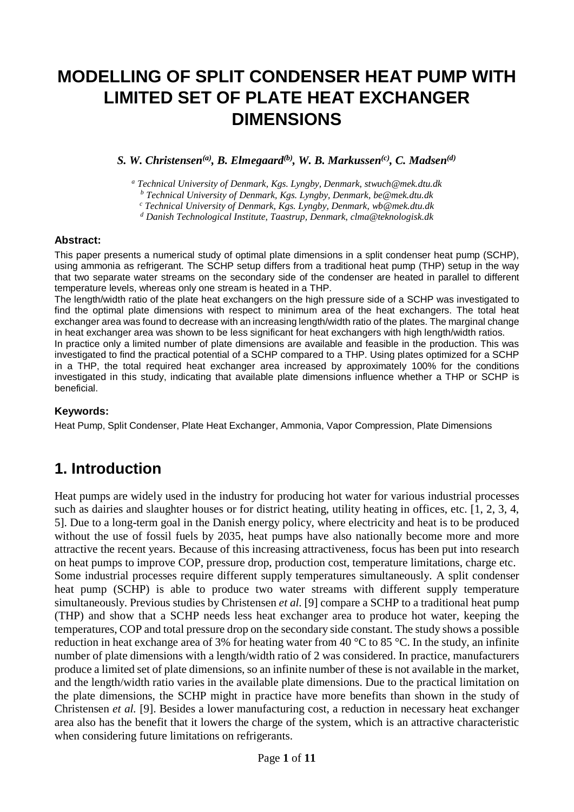# **MODELLING OF SPLIT CONDENSER HEAT PUMP WITH LIMITED SET OF PLATE HEAT EXCHANGER DIMENSIONS**

*S. W. Christensen(a), B. Elmegaard(b) , W. B. Markussen(c) , C. Madsen(d)*

*<sup>a</sup> Technical University of Denmark, Kgs. Lyngby, Denmark, stwuch@mek.dtu.dk*

*<sup>b</sup> Technical University of Denmark, Kgs. Lyngby, Denmark, be@mek.dtu.dk*

*<sup>c</sup> Technical University of Denmark, Kgs. Lyngby, Denmark, wb@mek.dtu.dk*

*<sup>d</sup> Danish Technological Institute, Taastrup, Denmark, clma@teknologisk.dk*

#### **Abstract:**

This paper presents a numerical study of optimal plate dimensions in a split condenser heat pump (SCHP), using ammonia as refrigerant. The SCHP setup differs from a traditional heat pump (THP) setup in the way that two separate water streams on the secondary side of the condenser are heated in parallel to different temperature levels, whereas only one stream is heated in a THP.

The length/width ratio of the plate heat exchangers on the high pressure side of a SCHP was investigated to find the optimal plate dimensions with respect to minimum area of the heat exchangers. The total heat exchanger area was found to decrease with an increasing length/width ratio of the plates. The marginal change in heat exchanger area was shown to be less significant for heat exchangers with high length/width ratios.

In practice only a limited number of plate dimensions are available and feasible in the production. This was investigated to find the practical potential of a SCHP compared to a THP. Using plates optimized for a SCHP in a THP, the total required heat exchanger area increased by approximately 100% for the conditions investigated in this study, indicating that available plate dimensions influence whether a THP or SCHP is beneficial.

#### **Keywords:**

Heat Pump, Split Condenser, Plate Heat Exchanger, Ammonia, Vapor Compression, Plate Dimensions

## **1. Introduction**

Heat pumps are widely used in the industry for producing hot water for various industrial processes such as dairies and slaughter houses or for district heating, utility heating in offices, etc. [1, 2, 3, 4, 5]. Due to a long-term goal in the Danish energy policy, where electricity and heat is to be produced without the use of fossil fuels by 2035, heat pumps have also nationally become more and more attractive the recent years. Because of this increasing attractiveness, focus has been put into research on heat pumps to improve COP, pressure drop, production cost, temperature limitations, charge etc. Some industrial processes require different supply temperatures simultaneously. A split condenser heat pump (SCHP) is able to produce two water streams with different supply temperature simultaneously. Previous studies by Christensen *et al.* [9] compare a SCHP to a traditional heat pump (THP) and show that a SCHP needs less heat exchanger area to produce hot water, keeping the temperatures, COP and total pressure drop on the secondary side constant. The study shows a possible reduction in heat exchange area of 3% for heating water from 40  $\degree$ C to 85  $\degree$ C. In the study, an infinite number of plate dimensions with a length/width ratio of 2 was considered. In practice, manufacturers produce a limited set of plate dimensions, so an infinite number of these is not available in the market, and the length/width ratio varies in the available plate dimensions. Due to the practical limitation on the plate dimensions, the SCHP might in practice have more benefits than shown in the study of Christensen *et al.* [9]. Besides a lower manufacturing cost, a reduction in necessary heat exchanger area also has the benefit that it lowers the charge of the system, which is an attractive characteristic when considering future limitations on refrigerants.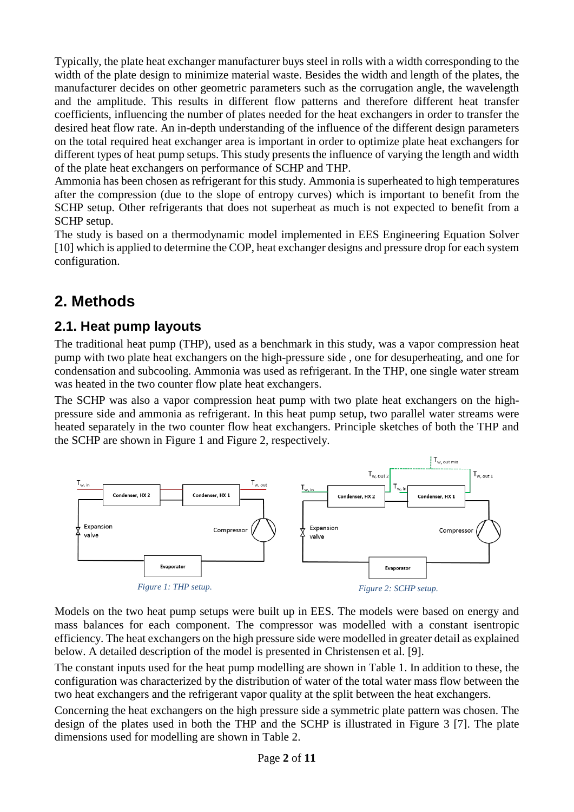Typically, the plate heat exchanger manufacturer buys steel in rolls with a width corresponding to the width of the plate design to minimize material waste. Besides the width and length of the plates, the manufacturer decides on other geometric parameters such as the corrugation angle, the wavelength and the amplitude. This results in different flow patterns and therefore different heat transfer coefficients, influencing the number of plates needed for the heat exchangers in order to transfer the desired heat flow rate. An in-depth understanding of the influence of the different design parameters on the total required heat exchanger area is important in order to optimize plate heat exchangers for different types of heat pump setups. This study presents the influence of varying the length and width of the plate heat exchangers on performance of SCHP and THP.

Ammonia has been chosen as refrigerant for this study. Ammonia is superheated to high temperatures after the compression (due to the slope of entropy curves) which is important to benefit from the SCHP setup. Other refrigerants that does not superheat as much is not expected to benefit from a SCHP setup.

The study is based on a thermodynamic model implemented in EES Engineering Equation Solver [10] which is applied to determine the COP, heat exchanger designs and pressure drop for each system configuration.

## **2. Methods**

## **2.1. Heat pump layouts**

The traditional heat pump (THP), used as a benchmark in this study, was a vapor compression heat pump with two plate heat exchangers on the high-pressure side , one for desuperheating, and one for condensation and subcooling. Ammonia was used as refrigerant. In the THP, one single water stream was heated in the two counter flow plate heat exchangers.

The SCHP was also a vapor compression heat pump with two plate heat exchangers on the highpressure side and ammonia as refrigerant. In this heat pump setup, two parallel water streams were heated separately in the two counter flow heat exchangers. Principle sketches of both the THP and the SCHP are shown in [Figure 1](#page-2-0) and [Figure 2,](#page-2-1) respectively.



<span id="page-2-1"></span><span id="page-2-0"></span>Models on the two heat pump setups were built up in EES. The models were based on energy and mass balances for each component. The compressor was modelled with a constant isentropic efficiency. The heat exchangers on the high pressure side were modelled in greater detail as explained below. A detailed description of the model is presented in Christensen et al. [9].

The constant inputs used for the heat pump modelling are shown in [Table 1.](#page-3-0) In addition to these, the configuration was characterized by the distribution of water of the total water mass flow between the two heat exchangers and the refrigerant vapor quality at the split between the heat exchangers.

Concerning the heat exchangers on the high pressure side a symmetric plate pattern was chosen. The design of the plates used in both the THP and the SCHP is illustrated in [Figure 3](#page-3-1) [7]. The plate dimensions used for modelling are shown in [Table 2.](#page-3-2)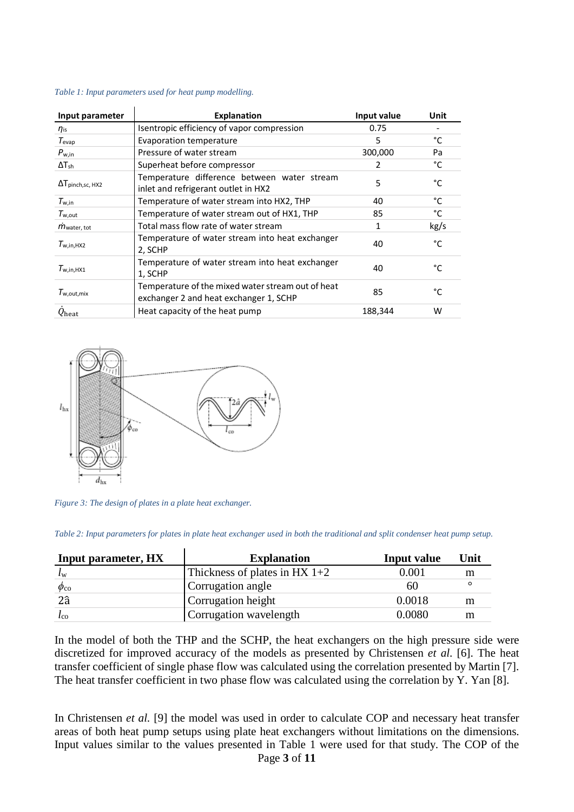| Input parameter                 | <b>Explanation</b>                                                                          | Input value | Unit |
|---------------------------------|---------------------------------------------------------------------------------------------|-------------|------|
| $\eta_{\text{is}}$              | Isentropic efficiency of vapor compression                                                  | 0.75        |      |
| $T_{evap}$                      | Evaporation temperature                                                                     | 5           | °C   |
| $P_{\text{w.in}}$               | Pressure of water stream                                                                    | 300,000     | Pa   |
| $\Delta T_{sh}$                 | Superheat before compressor                                                                 | 2           | °C   |
| $\Delta T_{pinch, sc, HX2}$     | Temperature difference between water stream<br>inlet and refrigerant outlet in HX2          | 5           | °C   |
| $T_{\text{w.in}}$               | Temperature of water stream into HX2, THP                                                   | 40          | °C   |
| $T_{\mathsf{w,out}}$            | Temperature of water stream out of HX1, THP                                                 | 85          | °C   |
| $\dot{m}$ <sub>water, tot</sub> | Total mass flow rate of water stream                                                        | 1           | kg/s |
| $T_{\text{w.in.HX2}}$           | Temperature of water stream into heat exchanger<br>2, SCHP                                  | 40          | °C   |
| $T_{\text{w.in.HX1}}$           | Temperature of water stream into heat exchanger<br>1, SCHP                                  | 40          | °C   |
| $T_{w.out mix}$                 | Temperature of the mixed water stream out of heat<br>exchanger 2 and heat exchanger 1, SCHP | 85          | °C   |
| $Q_{\mathop{\rm heat}}$         | Heat capacity of the heat pump                                                              | 188,344     | W    |

#### <span id="page-3-0"></span>*Table 1: Input parameters used for heat pump modelling.*



<span id="page-3-1"></span>*Figure 3: The design of plates in a plate heat exchanger.*

<span id="page-3-2"></span>*Table 2: Input parameters for plates in plate heat exchanger used in both the traditional and split condenser heat pump setup.*

| Input parameter, HX  | <b>Explanation</b>              | Input value | Unit |
|----------------------|---------------------------------|-------------|------|
| $\iota_{\mathrm{w}}$ | Thickness of plates in HX $1+2$ | 0.001       | m    |
| $\phi_{\rm co}$      | Corrugation angle               | 60          |      |
| $2\hat{a}$           | Corrugation height              | 0.0018      | m    |
| $\iota_{\rm co}$     | Corrugation wavelength          | 0.0080      |      |

In the model of both the THP and the SCHP, the heat exchangers on the high pressure side were discretized for improved accuracy of the models as presented by Christensen *et al.* [6]. The heat transfer coefficient of single phase flow was calculated using the correlation presented by Martin [7]. The heat transfer coefficient in two phase flow was calculated using the correlation by Y. Yan [8].

In Christensen *et al.* [9] the model was used in order to calculate COP and necessary heat transfer areas of both heat pump setups using plate heat exchangers without limitations on the dimensions. Input values similar to the values presented in [Table 1](#page-3-0) were used for that study. The COP of the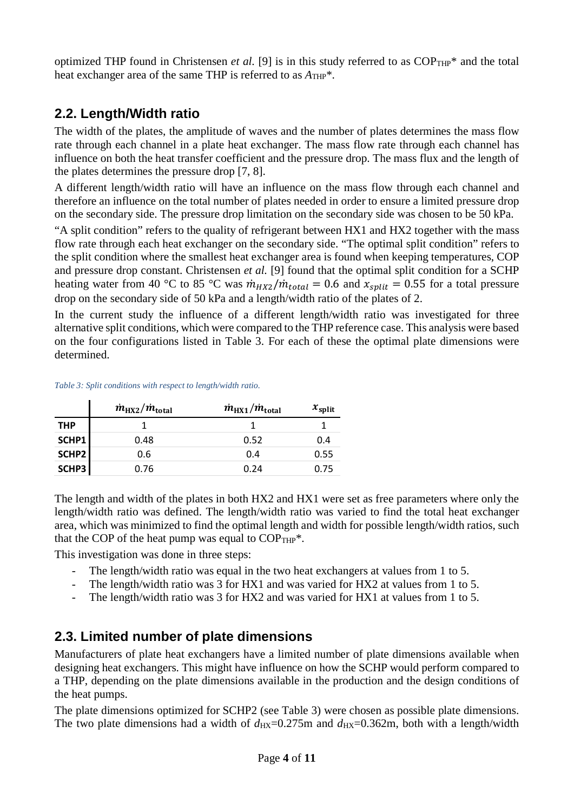optimized THP found in Christensen *et al.* [9] is in this study referred to as  $COP<sub>THP</sub>$ <sup>\*</sup> and the total heat exchanger area of the same THP is referred to as  $A_{THP}^*$ .

#### **2.2. Length/Width ratio**

The width of the plates, the amplitude of waves and the number of plates determines the mass flow rate through each channel in a plate heat exchanger. The mass flow rate through each channel has influence on both the heat transfer coefficient and the pressure drop. The mass flux and the length of the plates determines the pressure drop [7, 8].

A different length/width ratio will have an influence on the mass flow through each channel and therefore an influence on the total number of plates needed in order to ensure a limited pressure drop on the secondary side. The pressure drop limitation on the secondary side was chosen to be 50 kPa.

"A split condition" refers to the quality of refrigerant between HX1 and HX2 together with the mass flow rate through each heat exchanger on the secondary side. "The optimal split condition" refers to the split condition where the smallest heat exchanger area is found when keeping temperatures, COP and pressure drop constant. Christensen *et al.* [9] found that the optimal split condition for a SCHP heating water from 40 °C to 85 °C was  $\dot{m}_{H X2}/\dot{m}_{total} = 0.6$  and  $x_{split} = 0.55$  for a total pressure drop on the secondary side of 50 kPa and a length/width ratio of the plates of 2.

In the current study the influence of a different length/width ratio was investigated for three alternative split conditions, which were compared to the THP reference case. This analysis were based on the four configurations listed in [Table 3.](#page-4-0) For each of these the optimal plate dimensions were determined.

#### <span id="page-4-0"></span>*Table 3: Split conditions with respect to length/width ratio.*

|            | $\dot{m}_{\rm HX2}/\dot{m}_{\rm total}$ | $\dot{m}_{\rm H X1}/\dot{m}_{\rm total}$ | $x_{split}$ |
|------------|-----------------------------------------|------------------------------------------|-------------|
| <b>THP</b> |                                         |                                          |             |
| SCHP1      | 0.48                                    | 0.52                                     | 0.4         |
| SCHP2      | 0.6                                     | 0.4                                      | 0.55        |
| SCHP3      | 0.76                                    | 0.24                                     | 0.75        |

The length and width of the plates in both HX2 and HX1 were set as free parameters where only the length/width ratio was defined. The length/width ratio was varied to find the total heat exchanger area, which was minimized to find the optimal length and width for possible length/width ratios, such that the COP of the heat pump was equal to  $COP_{THP}^*$ .

This investigation was done in three steps:

- The length/width ratio was equal in the two heat exchangers at values from 1 to 5.
- The length/width ratio was 3 for HX1 and was varied for HX2 at values from 1 to 5.
- The length/width ratio was 3 for HX2 and was varied for HX1 at values from 1 to 5.

#### **2.3. Limited number of plate dimensions**

Manufacturers of plate heat exchangers have a limited number of plate dimensions available when designing heat exchangers. This might have influence on how the SCHP would perform compared to a THP, depending on the plate dimensions available in the production and the design conditions of the heat pumps.

The plate dimensions optimized for SCHP2 (see [Table 3\)](#page-4-0) were chosen as possible plate dimensions. The two plate dimensions had a width of  $d_{\text{HX}}=0.275$ m and  $d_{\text{HX}}=0.362$ m, both with a length/width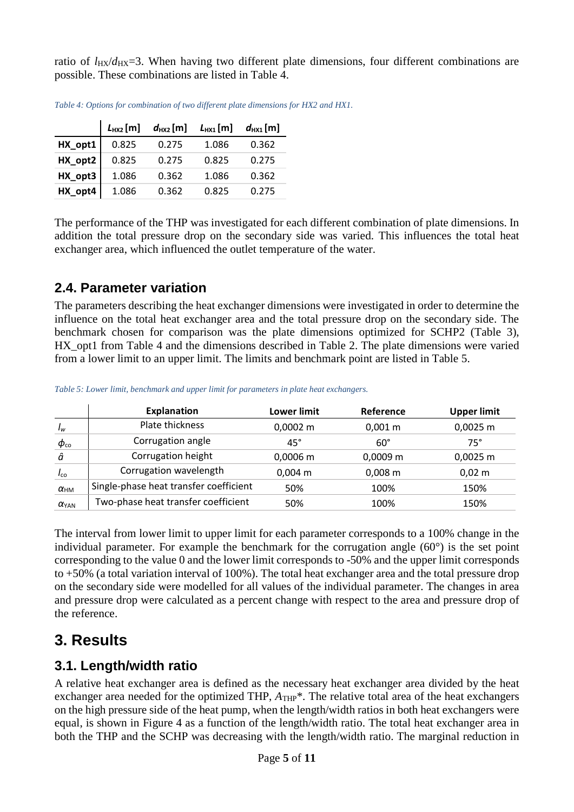ratio of  $l_{\text{HX}}/d_{\text{HX}}=3$ . When having two different plate dimensions, four different combinations are possible. These combinations are listed in [Table 4.](#page-5-0)

|         | $L_{HX2}$ [m] | $d_{HX2}$ [m] | $L_{HX1}[m]$ | $d_{\text{HX1}}$ [m] |
|---------|---------------|---------------|--------------|----------------------|
| HX_opt1 | 0.825         | 0.275         | 1.086        | 0.362                |
| HX_opt2 | 0.825         | 0.275         | 0.825        | 0.275                |
| HX_opt3 | 1.086         | 0.362         | 1.086        | 0.362                |
| HX_opt4 | 1.086         | 0.362         | 0.825        | 0.275                |

<span id="page-5-0"></span>*Table 4: Options for combination of two different plate dimensions for HX2 and HX1.*

The performance of the THP was investigated for each different combination of plate dimensions. In addition the total pressure drop on the secondary side was varied. This influences the total heat exchanger area, which influenced the outlet temperature of the water.

### **2.4. Parameter variation**

The parameters describing the heat exchanger dimensions were investigated in order to determine the influence on the total heat exchanger area and the total pressure drop on the secondary side. The benchmark chosen for comparison was the plate dimensions optimized for SCHP2 [\(Table 3\)](#page-4-0), HX opt1 from [Table 4](#page-5-0) and the dimensions described in [Table 2.](#page-3-2) The plate dimensions were varied from a lower limit to an upper limit. The limits and benchmark point are listed in [Table 5.](#page-5-1)

<span id="page-5-1"></span>

|  | Table 5: Lower limit, benchmark and upper limit for parameters in plate heat exchangers. |  |  |  |  |
|--|------------------------------------------------------------------------------------------|--|--|--|--|
|--|------------------------------------------------------------------------------------------|--|--|--|--|

|                 | <b>Explanation</b>                     | Lower limit   | Reference    | <b>Upper limit</b> |
|-----------------|----------------------------------------|---------------|--------------|--------------------|
| $I_w$           | Plate thickness                        | $0,0002 \; m$ | $0,001 \; m$ | $0,0025$ m         |
| $\phi_{\rm co}$ | Corrugation angle                      | $45^{\circ}$  | $60^\circ$   | $75^\circ$         |
| â               | Corrugation height                     | $0,0006$ m    | $0,0009$ m   | $0,0025$ m         |
| $I_{\rm{co}}$   | Corrugation wavelength                 | $0,004 \; m$  | $0,008 \; m$ | $0,02 \, \text{m}$ |
| $\alpha_{HM}$   | Single-phase heat transfer coefficient | 50%           | 100%         | 150%               |
| $\alpha_{YAN}$  | Two-phase heat transfer coefficient    | 50%           | 100%         | 150%               |

The interval from lower limit to upper limit for each parameter corresponds to a 100% change in the individual parameter. For example the benchmark for the corrugation angle (60°) is the set point corresponding to the value 0 and the lower limit corresponds to -50% and the upper limit corresponds to +50% (a total variation interval of 100%). The total heat exchanger area and the total pressure drop on the secondary side were modelled for all values of the individual parameter. The changes in area and pressure drop were calculated as a percent change with respect to the area and pressure drop of the reference.

# **3. Results**

### **3.1. Length/width ratio**

A relative heat exchanger area is defined as the necessary heat exchanger area divided by the heat exchanger area needed for the optimized THP,  $A_{THP}^*$ . The relative total area of the heat exchangers on the high pressure side of the heat pump, when the length/width ratios in both heat exchangers were equal, is shown in [Figure 4](#page-6-0) as a function of the length/width ratio. The total heat exchanger area in both the THP and the SCHP was decreasing with the length/width ratio. The marginal reduction in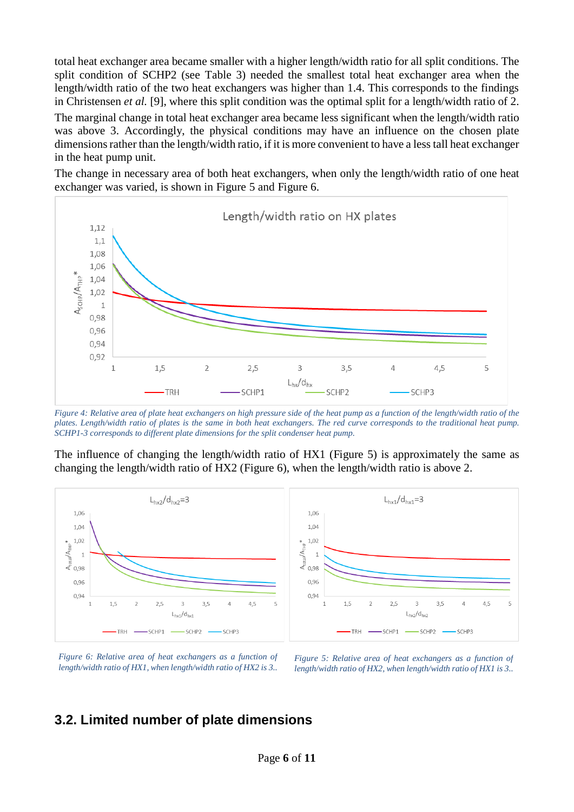total heat exchanger area became smaller with a higher length/width ratio for all split conditions. The split condition of SCHP2 (see [Table 3\)](#page-4-0) needed the smallest total heat exchanger area when the length/width ratio of the two heat exchangers was higher than 1.4. This corresponds to the findings in Christensen *et al.* [9], where this split condition was the optimal split for a length/width ratio of 2.

The marginal change in total heat exchanger area became less significant when the length/width ratio was above 3. Accordingly, the physical conditions may have an influence on the chosen plate dimensions rather than the length/width ratio, if it is more convenient to have a less tall heat exchanger in the heat pump unit.

The change in necessary area of both heat exchangers, when only the length/width ratio of one heat exchanger was varied, is shown in [Figure 5](#page-6-1) and [Figure 6.](#page-6-2)



<span id="page-6-0"></span>*Figure 4: Relative area of plate heat exchangers on high pressure side of the heat pump as a function of the length/width ratio of the plates. Length/width ratio of plates is the same in both heat exchangers. The red curve corresponds to the traditional heat pump. SCHP1-3 corresponds to different plate dimensions for the split condenser heat pump.*

The influence of changing the length/width ratio of HX1 [\(Figure 5\)](#page-6-1) is approximately the same as changing the length/width ratio of HX2 [\(Figure 6\)](#page-6-2), when the length/width ratio is above 2.



<span id="page-6-1"></span>*Figure 6: Relative area of heat exchangers as a function of length/width ratio of HX1, when length/width ratio of HX2 is 3..*

<span id="page-6-2"></span>*Figure 5: Relative area of heat exchangers as a function of length/width ratio of HX2, when length/width ratio of HX1 is 3..*

#### **3.2. Limited number of plate dimensions**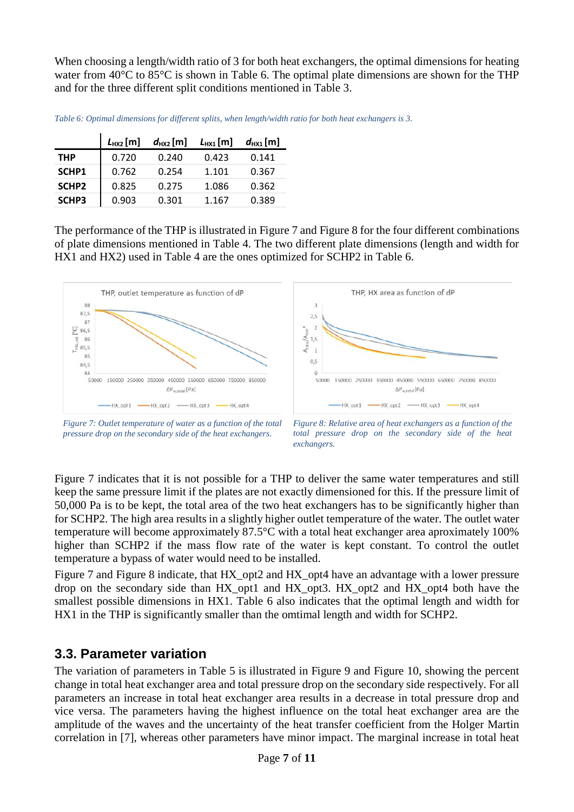When choosing a length/width ratio of 3 for both heat exchangers, the optimal dimensions for heating water from 40°C to 85°C is shown in [Table 6.](#page-7-0) The optimal plate dimensions are shown for the THP and for the three different split conditions mentioned in [Table 3.](#page-4-0)

<span id="page-7-0"></span>

|  |  | Table 6: Optimal dimensions for different splits, when length/width ratio for both heat exchangers is 3. |  |
|--|--|----------------------------------------------------------------------------------------------------------|--|
|  |  |                                                                                                          |  |

|            | $L_{HX2}$ [m] | $d_{HX2}$ [m] | $L_{HX1}$ [m] | $d_{HX1}$ [m] |
|------------|---------------|---------------|---------------|---------------|
| <b>THP</b> | 0.720         | 0.240         | 0.423         | 0.141         |
| SCHP1      | 0.762         | 0.254         | 1.101         | 0.367         |
| SCHP2      | 0.825         | 0.275         | 1.086         | 0.362         |
| SCHP3      | 0.903         | 0.301         | 1.167         | 0.389         |

The performance of the THP is illustrated in [Figure 7](#page-7-1) and [Figure 8](#page-7-2) for the four different combinations of plate dimensions mentioned in [Table 4.](#page-5-0) The two different plate dimensions (length and width for HX1 and HX2) used in [Table 4](#page-5-0) are the ones optimized for SCHP2 in [Table 6.](#page-7-0)



<span id="page-7-1"></span>*Figure 7: Outlet temperature of water as a function of the total pressure drop on the secondary side of the heat exchangers.*

<span id="page-7-2"></span>*Figure 8: Relative area of heat exchangers as a function of the total pressure drop on the secondary side of the heat exchangers.*

[Figure 7](#page-7-1) indicates that it is not possible for a THP to deliver the same water temperatures and still keep the same pressure limit if the plates are not exactly dimensioned for this. If the pressure limit of 50,000 Pa is to be kept, the total area of the two heat exchangers has to be significantly higher than for SCHP2. The high area results in a slightly higher outlet temperature of the water. The outlet water temperature will become approximately 87.5°C with a total heat exchanger area aproximately 100% higher than SCHP2 if the mass flow rate of the water is kept constant. To control the outlet temperature a bypass of water would need to be installed.

[Figure 7](#page-7-1) and [Figure 8](#page-7-2) indicate, that HX\_opt2 and HX\_opt4 have an advantage with a lower pressure drop on the secondary side than HX\_opt1 and HX\_opt3. HX\_opt2 and HX\_opt4 both have the smallest possible dimensions in HX1. [Table 6](#page-7-0) also indicates that the optimal length and width for HX1 in the THP is significantly smaller than the omtimal length and width for SCHP2.

#### **3.3. Parameter variation**

The variation of parameters in [Table 5](#page-5-1) is illustrated in [Figure 9](#page-8-0) and [Figure 10,](#page-9-0) showing the percent change in total heat exchanger area and total pressure drop on the secondary side respectively. For all parameters an increase in total heat exchanger area results in a decrease in total pressure drop and vice versa. The parameters having the highest influence on the total heat exchanger area are the amplitude of the waves and the uncertainty of the heat transfer coefficient from the Holger Martin correlation in [7], whereas other parameters have minor impact. The marginal increase in total heat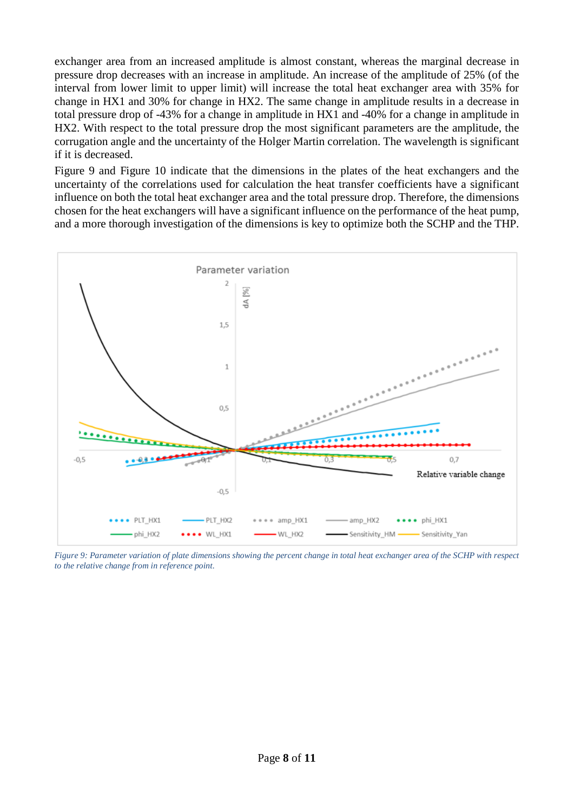exchanger area from an increased amplitude is almost constant, whereas the marginal decrease in pressure drop decreases with an increase in amplitude. An increase of the amplitude of 25% (of the interval from lower limit to upper limit) will increase the total heat exchanger area with 35% for change in HX1 and 30% for change in HX2. The same change in amplitude results in a decrease in total pressure drop of -43% for a change in amplitude in HX1 and -40% for a change in amplitude in HX2. With respect to the total pressure drop the most significant parameters are the amplitude, the corrugation angle and the uncertainty of the Holger Martin correlation. The wavelength is significant if it is decreased.

[Figure 9](#page-8-0) and [Figure 10](#page-9-0) indicate that the dimensions in the plates of the heat exchangers and the uncertainty of the correlations used for calculation the heat transfer coefficients have a significant influence on both the total heat exchanger area and the total pressure drop. Therefore, the dimensions chosen for the heat exchangers will have a significant influence on the performance of the heat pump, and a more thorough investigation of the dimensions is key to optimize both the SCHP and the THP.



<span id="page-8-0"></span>*Figure 9: Parameter variation of plate dimensions showing the percent change in total heat exchanger area of the SCHP with respect to the relative change from in reference point.*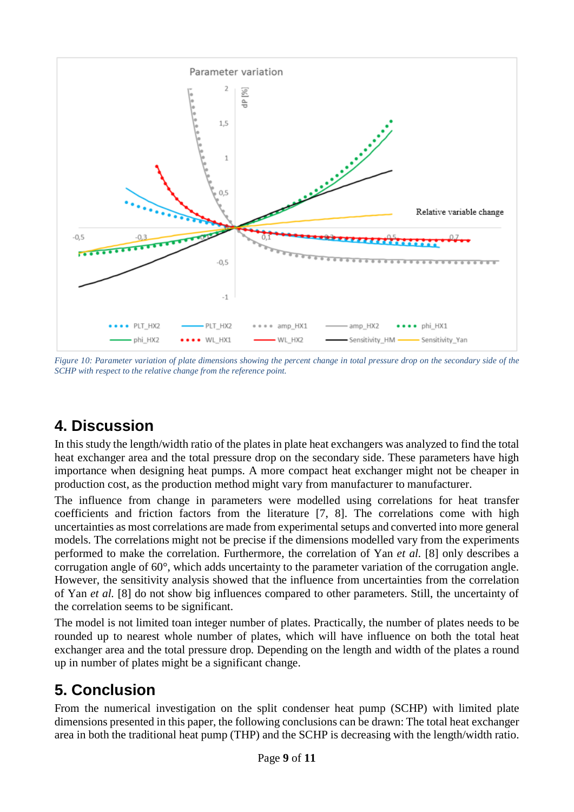

<span id="page-9-0"></span>*Figure 10: Parameter variation of plate dimensions showing the percent change in total pressure drop on the secondary side of the SCHP with respect to the relative change from the reference point.*

# **4. Discussion**

In this study the length/width ratio of the plates in plate heat exchangers was analyzed to find the total heat exchanger area and the total pressure drop on the secondary side. These parameters have high importance when designing heat pumps. A more compact heat exchanger might not be cheaper in production cost, as the production method might vary from manufacturer to manufacturer.

The influence from change in parameters were modelled using correlations for heat transfer coefficients and friction factors from the literature [7, 8]. The correlations come with high uncertainties as most correlations are made from experimental setups and converted into more general models. The correlations might not be precise if the dimensions modelled vary from the experiments performed to make the correlation. Furthermore, the correlation of Yan *et al.* [8] only describes a corrugation angle of 60°, which adds uncertainty to the parameter variation of the corrugation angle. However, the sensitivity analysis showed that the influence from uncertainties from the correlation of Yan *et al.* [8] do not show big influences compared to other parameters. Still, the uncertainty of the correlation seems to be significant.

The model is not limited toan integer number of plates. Practically, the number of plates needs to be rounded up to nearest whole number of plates, which will have influence on both the total heat exchanger area and the total pressure drop. Depending on the length and width of the plates a round up in number of plates might be a significant change.

# **5. Conclusion**

From the numerical investigation on the split condenser heat pump (SCHP) with limited plate dimensions presented in this paper, the following conclusions can be drawn: The total heat exchanger area in both the traditional heat pump (THP) and the SCHP is decreasing with the length/width ratio.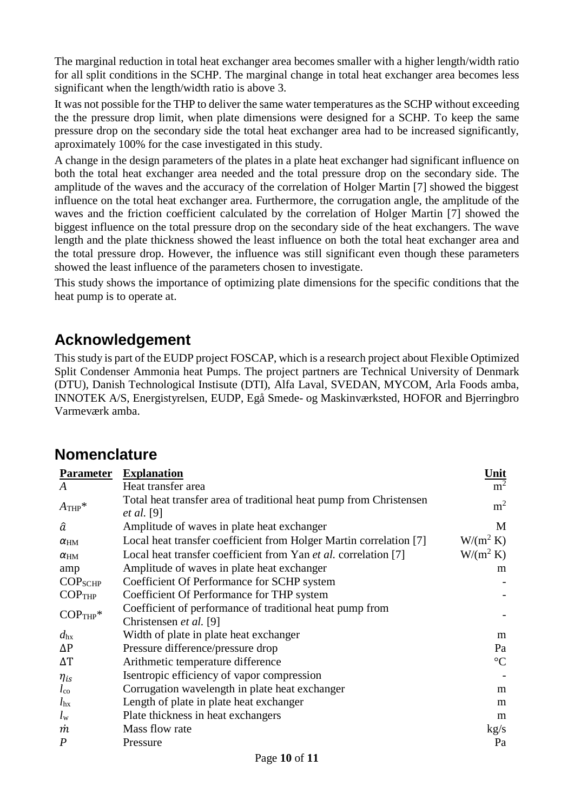The marginal reduction in total heat exchanger area becomes smaller with a higher length/width ratio for all split conditions in the SCHP. The marginal change in total heat exchanger area becomes less significant when the length/width ratio is above 3.

It was not possible for the THP to deliver the same water temperatures as the SCHP without exceeding the the pressure drop limit, when plate dimensions were designed for a SCHP. To keep the same pressure drop on the secondary side the total heat exchanger area had to be increased significantly, aproximately 100% for the case investigated in this study.

A change in the design parameters of the plates in a plate heat exchanger had significant influence on both the total heat exchanger area needed and the total pressure drop on the secondary side. The amplitude of the waves and the accuracy of the correlation of Holger Martin [7] showed the biggest influence on the total heat exchanger area. Furthermore, the corrugation angle, the amplitude of the waves and the friction coefficient calculated by the correlation of Holger Martin [7] showed the biggest influence on the total pressure drop on the secondary side of the heat exchangers. The wave length and the plate thickness showed the least influence on both the total heat exchanger area and the total pressure drop. However, the influence was still significant even though these parameters showed the least influence of the parameters chosen to investigate.

This study shows the importance of optimizing plate dimensions for the specific conditions that the heat pump is to operate at.

## **Acknowledgement**

This study is part of the EUDP project FOSCAP, which is a research project about Flexible Optimized Split Condenser Ammonia heat Pumps. The project partners are Technical University of Denmark (DTU), Danish Technological Instisute (DTI), Alfa Laval, SVEDAN, MYCOM, Arla Foods amba, INNOTEK A/S, Energistyrelsen, EUDP, Egå Smede- og Maskinværksted, HOFOR and Bjerringbro Varmeværk amba.

## **Nomenclature**

| <b>Parameter</b>     | <b>Explanation</b>                                                                      | <u>Unit</u>     |
|----------------------|-----------------------------------------------------------------------------------------|-----------------|
| A                    | Heat transfer area                                                                      | m <sup>2</sup>  |
| $A$ THP <sup>*</sup> | Total heat transfer area of traditional heat pump from Christensen<br><i>et al.</i> [9] | m <sup>2</sup>  |
| â                    | Amplitude of waves in plate heat exchanger                                              | M               |
| $\alpha_{\rm HM}$    | Local heat transfer coefficient from Holger Martin correlation [7]                      | $W/(m^2 K)$     |
| $\alpha_{HM}$        | Local heat transfer coefficient from Yan et al. correlation [7]                         | $W/(m^2 K)$     |
| amp                  | Amplitude of waves in plate heat exchanger                                              | m               |
| COP <sub>SCHP</sub>  | Coefficient Of Performance for SCHP system                                              |                 |
| $COP$ THP            | Coefficient Of Performance for THP system                                               |                 |
| $COP$ THP*           | Coefficient of performance of traditional heat pump from                                |                 |
|                      | Christensen et al. [9]                                                                  |                 |
| $d_{\rm hx}$         | Width of plate in plate heat exchanger                                                  | m               |
| $\Delta P$           | Pressure difference/pressure drop                                                       | Pa              |
| ΔΤ                   | Arithmetic temperature difference                                                       | $\rm ^{\circ}C$ |
| $\eta_{is}$          | Isentropic efficiency of vapor compression                                              |                 |
| $l_{\rm co}$         | Corrugation wavelength in plate heat exchanger                                          | m               |
| $l_{\rm hx}$         | Length of plate in plate heat exchanger                                                 | m               |
| $l_{\rm w}$          | Plate thickness in heat exchangers                                                      | m               |
| m                    | Mass flow rate                                                                          | kg/s            |
| $\overline{P}$       | Pressure                                                                                | Pa              |